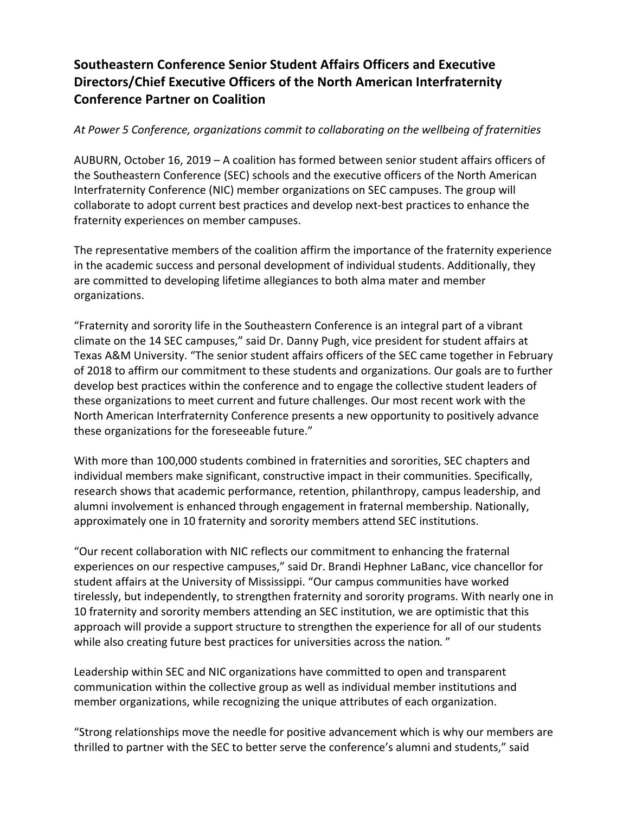## **Southeastern Conference Senior Student Affairs Officers and Executive Directors/Chief Executive Officers of the North American Interfraternity Conference Partner on Coalition**

### *At Power 5 Conference, organizations commit to collaborating on the wellbeing of fraternities*

AUBURN, October 16, 2019 – A coalition has formed between senior student affairs officers of the Southeastern Conference (SEC) schools and the executive officers of the North American Interfraternity Conference (NIC) member organizations on SEC campuses. The group will collaborate to adopt current best practices and develop next-best practices to enhance the fraternity experiences on member campuses.

The representative members of the coalition affirm the importance of the fraternity experience in the academic success and personal development of individual students. Additionally, they are committed to developing lifetime allegiances to both alma mater and member organizations.

"Fraternity and sorority life in the Southeastern Conference is an integral part of a vibrant climate on the 14 SEC campuses," said Dr. Danny Pugh, vice president for student affairs at Texas A&M University. "The senior student affairs officers of the SEC came together in February of 2018 to affirm our commitment to these students and organizations. Our goals are to further develop best practices within the conference and to engage the collective student leaders of these organizations to meet current and future challenges. Our most recent work with the North American Interfraternity Conference presents a new opportunity to positively advance these organizations for the foreseeable future."

With more than 100,000 students combined in fraternities and sororities, SEC chapters and individual members make significant, constructive impact in their communities. Specifically, research shows that academic performance, retention, philanthropy, campus leadership, and alumni involvement is enhanced through engagement in fraternal membership. Nationally, approximately one in 10 fraternity and sorority members attend SEC institutions.

"Our recent collaboration with NIC reflects our commitment to enhancing the fraternal experiences on our respective campuses," said Dr. Brandi Hephner LaBanc, vice chancellor for student affairs at the University of Mississippi. "Our campus communities have worked tirelessly, but independently, to strengthen fraternity and sorority programs. With nearly one in 10 fraternity and sorority members attending an SEC institution, we are optimistic that this approach will provide a support structure to strengthen the experience for all of our students while also creating future best practices for universities across the nation."

Leadership within SEC and NIC organizations have committed to open and transparent communication within the collective group as well as individual member institutions and member organizations, while recognizing the unique attributes of each organization.

"Strong relationships move the needle for positive advancement which is why our members are thrilled to partner with the SEC to better serve the conference's alumni and students," said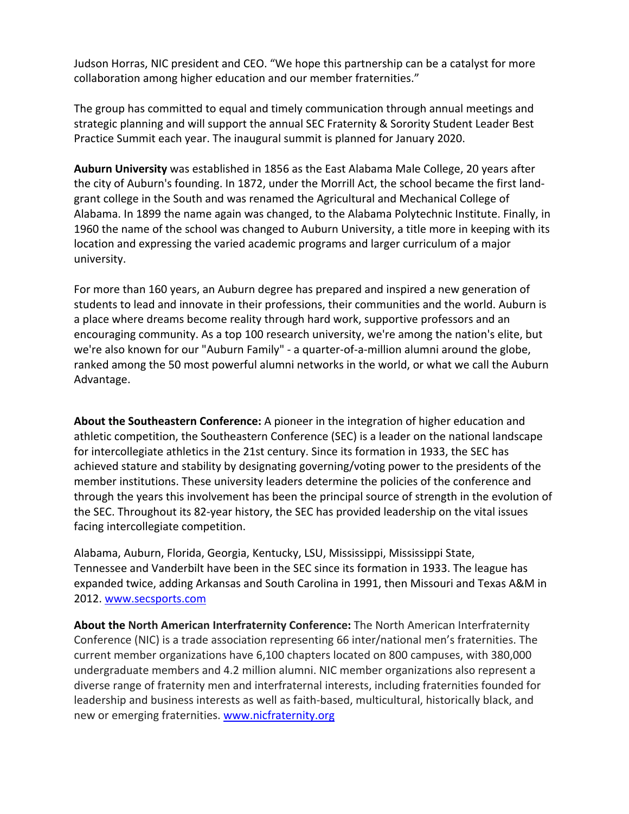Judson Horras, NIC president and CEO. "We hope this partnership can be a catalyst for more collaboration among higher education and our member fraternities."

The group has committed to equal and timely communication through annual meetings and strategic planning and will support the annual SEC Fraternity & Sorority Student Leader Best Practice Summit each year. The inaugural summit is planned for January 2020.

**Auburn University** was established in 1856 as the East Alabama Male College, 20 years after the city of Auburn's founding. In 1872, under the Morrill Act, the school became the first landgrant college in the South and was renamed the Agricultural and Mechanical College of Alabama. In 1899 the name again was changed, to the Alabama Polytechnic Institute. Finally, in 1960 the name of the school was changed to Auburn University, a title more in keeping with its location and expressing the varied academic programs and larger curriculum of a major university.

For more than 160 years, an Auburn degree has prepared and inspired a new generation of students to lead and innovate in their professions, their communities and the world. Auburn is a place where dreams become reality through hard work, supportive professors and an encouraging community. As a top 100 research university, we're among the nation's elite, but we're also known for our "Auburn Family" - a quarter-of-a-million alumni around the globe, ranked among the 50 most powerful alumni networks in the world, or what we call the Auburn Advantage.

**About the Southeastern Conference:** A pioneer in the integration of higher education and athletic competition, the Southeastern Conference (SEC) is a leader on the national landscape for intercollegiate athletics in the 21st century. Since its formation in 1933, the SEC has achieved stature and stability by designating governing/voting power to the presidents of the member institutions. These university leaders determine the policies of the conference and through the years this involvement has been the principal source of strength in the evolution of the SEC. Throughout its 82-year history, the SEC has provided leadership on the vital issues facing intercollegiate competition.

Alabama, Auburn, Florida, Georgia, Kentucky, LSU, Mississippi, Mississippi State, Tennessee and Vanderbilt have been in the SEC since its formation in 1933. The league has expanded twice, adding Arkansas and South Carolina in 1991, then Missouri and Texas A&M in 2012. www.secsports.com

**About the North American Interfraternity Conference:** The North American Interfraternity Conference (NIC) is a trade association representing 66 inter/national men's fraternities. The current member organizations have 6,100 chapters located on 800 campuses, with 380,000 undergraduate members and 4.2 million alumni. NIC member organizations also represent a diverse range of fraternity men and interfraternal interests, including fraternities founded for leadership and business interests as well as faith-based, multicultural, historically black, and new or emerging fraternities. www.nicfraternity.org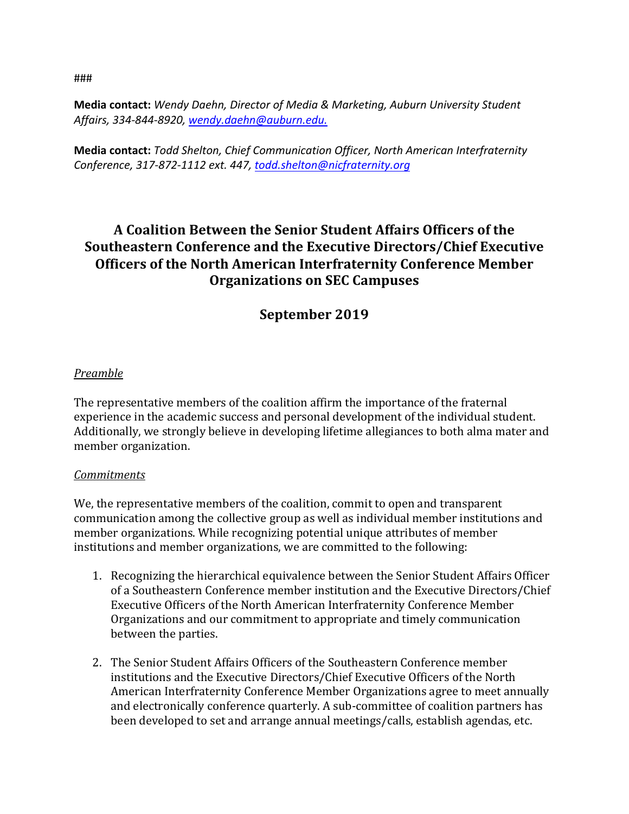###

**Media contact:** *Wendy Daehn, Director of Media & Marketing, Auburn University Student Affairs, 334-844-8920, wendy.daehn@auburn.edu.*

**Media contact:** *Todd Shelton, Chief Communication Officer, North American Interfraternity Conference, 317-872-1112 ext. 447, todd.shelton@nicfraternity.org*

# **A Coalition Between the Senior Student Affairs Officers of the Southeastern Conference and the Executive Directors/Chief Executive Officers of the North American Interfraternity Conference Member Organizations on SEC Campuses**

## **September 2019**

#### *Preamble*

The representative members of the coalition affirm the importance of the fraternal experience in the academic success and personal development of the individual student. Additionally, we strongly believe in developing lifetime allegiances to both alma mater and member organization.

#### *Commitments*

We, the representative members of the coalition, commit to open and transparent communication among the collective group as well as individual member institutions and member organizations. While recognizing potential unique attributes of member institutions and member organizations, we are committed to the following:

- 1. Recognizing the hierarchical equivalence between the Senior Student Affairs Officer of a Southeastern Conference member institution and the Executive Directors/Chief Executive Officers of the North American Interfraternity Conference Member Organizations and our commitment to appropriate and timely communication between the parties.
- 2. The Senior Student Affairs Officers of the Southeastern Conference member institutions and the Executive Directors/Chief Executive Officers of the North American Interfraternity Conference Member Organizations agree to meet annually and electronically conference quarterly. A sub-committee of coalition partners has been developed to set and arrange annual meetings/calls, establish agendas, etc.